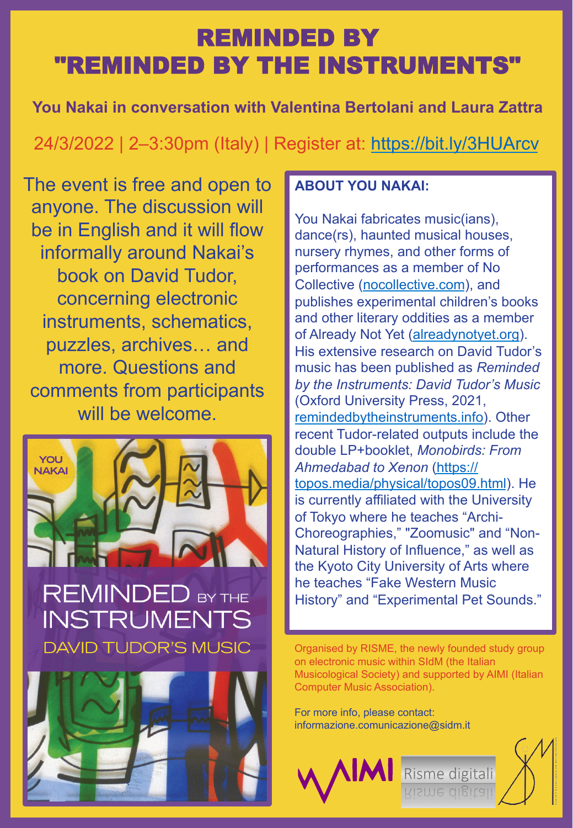# REMINDED BY "REMINDED BY THE INSTRUMENTS"

**You Nakai in conversation with Valentina Bertolani and Laura Zattra**

## 24/3/2022 | 2–3:30pm (Italy) | Register at: https://bit.ly/3HUArcv

The event is free and open to anyone. The discussion will be in English and it will flow informally around Nakai's book on David Tudor, concerning electronic instruments, schematics, puzzles, archives… and more. Questions and comments from participants will be welcome.



### **REMINDED BY THE** INSTRUMENTS **DAVID TUDOR'S MUSIC**



#### **ABOUT YOU NAKAI:**

You Nakai fabricates music(ians), dance(rs), haunted musical houses, nursery rhymes, and other forms of performances as a member of No Collective (nocollective.com), and publishes experimental children's books and other literary oddities as a member of Already Not Yet (alreadynotyet.org). His extensive research on David Tudor's music has been published as *Reminded by the Instruments: David Tudor's Music* (Oxford University Press, 2021, remindedbytheinstruments.info). Other recent Tudor-related outputs include the double LP+booklet, *Monobirds: From Ahmedabad to Xenon* (https:// topos.media/physical/topos09.html). He is currently affiliated with the University of Tokyo where he teaches "Archi-Choreographies," "Zoomusic" and "Non-Natural History of Influence," as well as the Kyoto City University of Arts where he teaches "Fake Western Music History" and "Experimental Pet Sounds."

Organised by RISME, the newly founded study group on electronic music within SIdM (the Italian Musicological Society) and supported by AIMI (Italian Computer Music Association).

Risme digitali

For more info, please contact: informazione.comunicazione@sidm.it